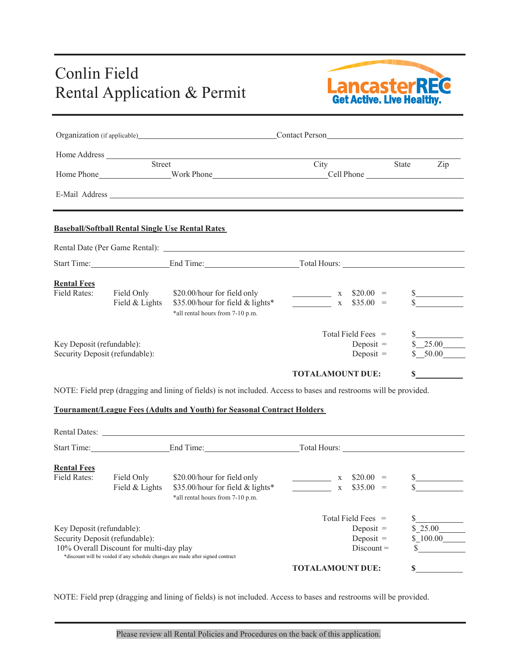## Conlin Field Rental Application & Permit<br>
Rental Application & Permit<br>
Get Active. Live Healthy.



| Organization (if applicable) Contact Person |                                                         |                                                                                                                                                                                                                                |                         |             |                                   |
|---------------------------------------------|---------------------------------------------------------|--------------------------------------------------------------------------------------------------------------------------------------------------------------------------------------------------------------------------------|-------------------------|-------------|-----------------------------------|
|                                             |                                                         |                                                                                                                                                                                                                                |                         |             |                                   |
|                                             | Street                                                  |                                                                                                                                                                                                                                | City                    | State       | $\mathop{\mathrm {Zip}}\nolimits$ |
|                                             |                                                         | Home Phone Mork Phone North Phone Cell Phone Cell Phone Cell Phone Cell Phone Cell Phone Cell Phone Cell Phone Cell Phone Cell Phone Cell Phone Cell Phone Cell Phone Cell Phone Cell Phone Cell Phone Cell Phone Cell Phone C |                         |             |                                   |
|                                             |                                                         | E-Mail Address Late and the contract of the contract of the contract of the contract of the contract of the contract of the contract of the contract of the contract of the contract of the contract of the contract of the co |                         |             |                                   |
|                                             | <b>Baseball/Softball Rental Single Use Rental Rates</b> |                                                                                                                                                                                                                                |                         |             |                                   |
|                                             |                                                         |                                                                                                                                                                                                                                |                         |             |                                   |
|                                             |                                                         | Start Time: End Time: End Time: Total Hours:                                                                                                                                                                                   |                         |             |                                   |
| <b>Rental Fees</b>                          |                                                         |                                                                                                                                                                                                                                |                         |             |                                   |
| <b>Field Rates:</b>                         | Field Only                                              | \$20.00/hour for field only                                                                                                                                                                                                    | $x$ \$20.00 =           |             | s                                 |
|                                             | Field & Lights                                          | \$35.00/hour for field & lights*                                                                                                                                                                                               | $x$ \$35.00 =           |             |                                   |
|                                             |                                                         | *all rental hours from 7-10 p.m.                                                                                                                                                                                               |                         |             |                                   |
|                                             |                                                         |                                                                                                                                                                                                                                | Total Field Fees =      |             |                                   |
| Key Deposit (refundable):                   |                                                         |                                                                                                                                                                                                                                |                         | Deposit $=$ | \$25.00                           |
| Security Deposit (refundable):              |                                                         |                                                                                                                                                                                                                                |                         | Deposit $=$ | \$ 50.00                          |
|                                             |                                                         |                                                                                                                                                                                                                                | <b>TOTALAMOUNT DUE:</b> | S           |                                   |
|                                             |                                                         | NOTE: Field prep (dragging and lining of fields) is not included. Access to bases and restrooms will be provided.                                                                                                              |                         |             |                                   |
|                                             |                                                         | <b>Tournament/League Fees (Adults and Youth) for Seasonal Contract Holders</b>                                                                                                                                                 |                         |             |                                   |
|                                             |                                                         |                                                                                                                                                                                                                                |                         |             |                                   |
|                                             |                                                         | Rental Dates: Lawrence and Contract and Contract and Contract and Contract and Contract and Contract and Contract and Contract and Contract and Contract and Contract and Contract and Contract and Contract and Contract and  |                         |             |                                   |
|                                             | Start Time: End Time: End Time: Total Hours:            |                                                                                                                                                                                                                                |                         |             |                                   |
|                                             |                                                         |                                                                                                                                                                                                                                |                         |             |                                   |
| <b>Rental Fees</b><br><b>Field Rates:</b>   | Field Only                                              | \$20.00/hour for field only                                                                                                                                                                                                    | $x$ \$20.00 =           |             | $\frac{\text{S}}{\text{S}}$       |
|                                             | Field & Lights                                          | \$35.00/hour for field & lights*                                                                                                                                                                                               | $\frac{1}{1}$ X         | $$35.00 =$  |                                   |
|                                             |                                                         | *all rental hours from 7-10 p.m.                                                                                                                                                                                               |                         |             |                                   |
|                                             |                                                         |                                                                                                                                                                                                                                | Total Field Fees $=$    |             |                                   |
| Key Deposit (refundable):                   |                                                         | Deposit =                                                                                                                                                                                                                      |                         | \$25.00     |                                   |

Key Deposit (refundable):<br>
Security Deposit (refundable):<br>
Deposit = \$\_25.00<br>
Deposit = \$\_100.00 Security Deposit (refundable): Deposit =  $\qquad \qquad$  Deposit = 10% Overall Discount for multi-day play Discount =  $*$  discount will be voided if any schedule changes are made after signed contract

**TOTALAMOUNT DUE: \$**

NOTE: Field prep (dragging and lining of fields) is not included. Access to bases and restrooms will be provided.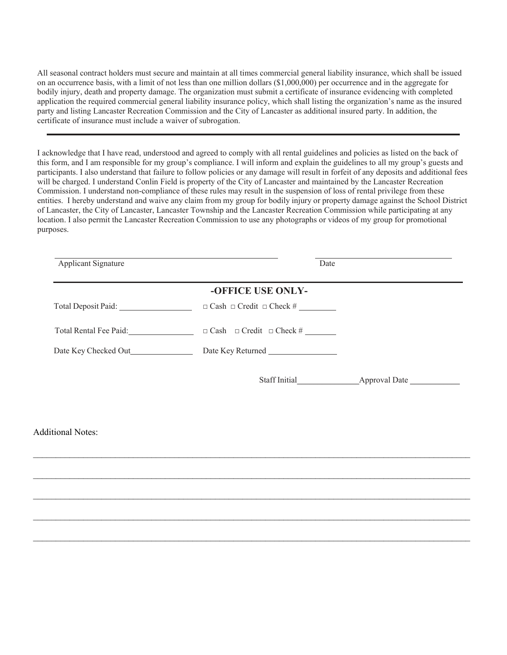All seasonal contract holders must secure and maintain at all times commercial general liability insurance, which shall be issued on an occurrence basis, with a limit of not less than one million dollars (\$1,000,000) per occurrence and in the aggregate for bodily injury, death and property damage. The organization must submit a certificate of insurance evidencing with completed application the required commercial general liability insurance policy, which shall listing the organization's name as the insured party and listing Lancaster Recreation Commission and the City of Lancaster as additional insured party. In addition, the certificate of insurance must include a waiver of subrogation.

I acknowledge that I have read, understood and agreed to comply with all rental guidelines and policies as listed on the back of this form, and I am responsible for my group's compliance. I will inform and explain the guidelines to all my group's guests and participants. I also understand that failure to follow policies or any damage will result in forfeit of any deposits and additional fees will be charged. I understand Conlin Field is property of the City of Lancaster and maintained by the Lancaster Recreation Commission. I understand non-compliance of these rules may result in the suspension of loss of rental privilege from these entities. I hereby understand and waive any claim from my group for bodily injury or property damage against the School District of Lancaster, the City of Lancaster, Lancaster Township and the Lancaster Recreation Commission while participating at any location. I also permit the Lancaster Recreation Commission to use any photographs or videos of my group for promotional purposes.

| Applicant Signature      | Date                                                           |  |
|--------------------------|----------------------------------------------------------------|--|
|                          | -OFFICE USE ONLY-                                              |  |
|                          |                                                                |  |
|                          |                                                                |  |
|                          | Date Key Checked Out<br>Date Key Returned<br>Date Key Returned |  |
|                          |                                                                |  |
| <b>Additional Notes:</b> |                                                                |  |
|                          |                                                                |  |
|                          |                                                                |  |
|                          |                                                                |  |
|                          |                                                                |  |

 $\_$